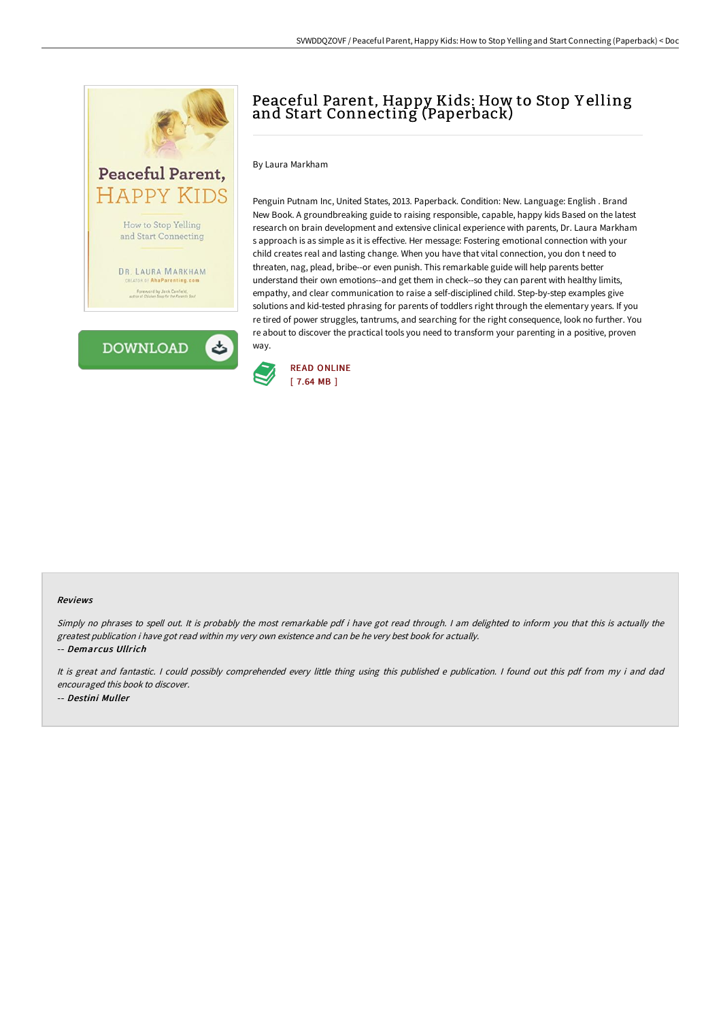

# Peaceful Parent, Happy Kids: How to Stop Y elling and Start Connecting (Paperback)

## By Laura Markham

Penguin Putnam Inc, United States, 2013. Paperback. Condition: New. Language: English . Brand New Book. A groundbreaking guide to raising responsible, capable, happy kids Based on the latest research on brain development and extensive clinical experience with parents, Dr. Laura Markham s approach is as simple as it is effective. Her message: Fostering emotional connection with your child creates real and lasting change. When you have that vital connection, you don t need to threaten, nag, plead, bribe--or even punish. This remarkable guide will help parents better understand their own emotions--and get them in check--so they can parent with healthy limits, empathy, and clear communication to raise a self-disciplined child. Step-by-step examples give solutions and kid-tested phrasing for parents of toddlers right through the elementary years. If you re tired of power struggles, tantrums, and searching for the right consequence, look no further. You re about to discover the practical tools you need to transform your parenting in a positive, proven way.



#### Reviews

Simply no phrases to spell out. It is probably the most remarkable pdf i have got read through. <sup>I</sup> am delighted to inform you that this is actually the greatest publication i have got read within my very own existence and can be he very best book for actually. -- Demarcus Ullrich

It is great and fantastic. <sup>I</sup> could possibly comprehended every little thing using this published <sup>e</sup> publication. <sup>I</sup> found out this pdf from my i and dad encouraged this book to discover. -- Destini Muller